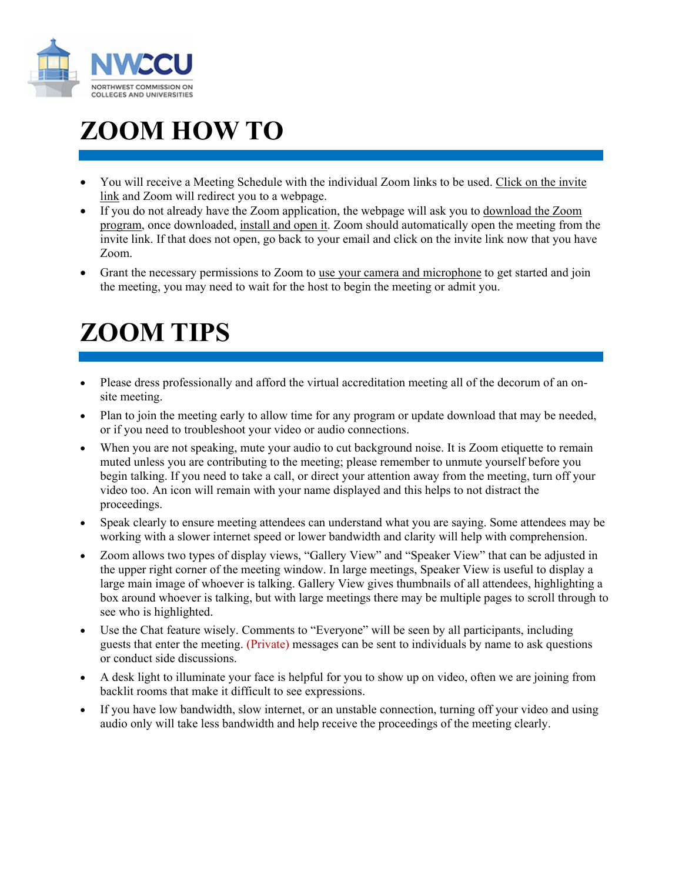

## **ZOOM HOW TO**

- You will receive a Meeting Schedule with the individual Zoom links to be used. Click on the invite link and Zoom will redirect you to a webpage.
- If you do not already have the Zoom application, the webpage will ask you to download the Zoom program, once downloaded, install and open it. Zoom should automatically open the meeting from the invite link. If that does not open, go back to your email and click on the invite link now that you have Zoom.
- Grant the necessary permissions to Zoom to use your camera and microphone to get started and join the meeting, you may need to wait for the host to begin the meeting or admit you.

## **ZOOM TIPS**

- Please dress professionally and afford the virtual accreditation meeting all of the decorum of an onsite meeting.
- Plan to join the meeting early to allow time for any program or update download that may be needed, or if you need to troubleshoot your video or audio connections.
- When you are not speaking, mute your audio to cut background noise. It is Zoom etiquette to remain muted unless you are contributing to the meeting; please remember to unmute yourself before you begin talking. If you need to take a call, or direct your attention away from the meeting, turn off your video too. An icon will remain with your name displayed and this helps to not distract the proceedings.
- Speak clearly to ensure meeting attendees can understand what you are saying. Some attendees may be working with a slower internet speed or lower bandwidth and clarity will help with comprehension.
- Zoom allows two types of display views, "Gallery View" and "Speaker View" that can be adjusted in the upper right corner of the meeting window. In large meetings, Speaker View is useful to display a large main image of whoever is talking. Gallery View gives thumbnails of all attendees, highlighting a box around whoever is talking, but with large meetings there may be multiple pages to scroll through to see who is highlighted.
- Use the Chat feature wisely. Comments to "Everyone" will be seen by all participants, including guests that enter the meeting. (Private) messages can be sent to individuals by name to ask questions or conduct side discussions.
- A desk light to illuminate your face is helpful for you to show up on video, often we are joining from backlit rooms that make it difficult to see expressions.
- If you have low bandwidth, slow internet, or an unstable connection, turning off your video and using audio only will take less bandwidth and help receive the proceedings of the meeting clearly.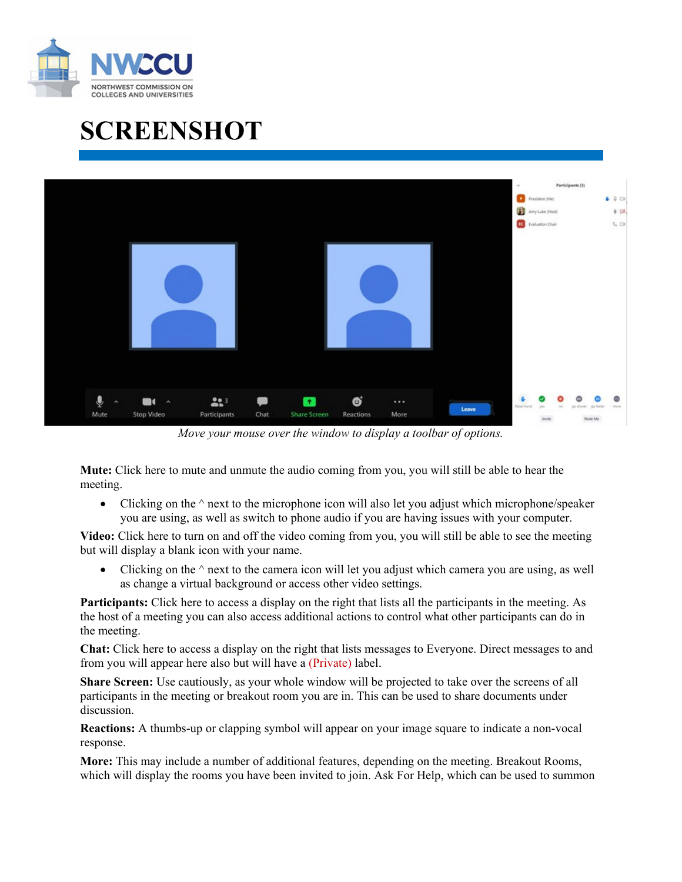

## **SCREENSHOT**



*Move your mouse over the window to display a toolbar of options.*

**Mute:** Click here to mute and unmute the audio coming from you, you will still be able to hear the meeting.

• Clicking on the  $\land$  next to the microphone icon will also let you adjust which microphone/speaker you are using, as well as switch to phone audio if you are having issues with your computer.

**Video:** Click here to turn on and off the video coming from you, you will still be able to see the meeting but will display a blank icon with your name.

• Clicking on the  $\land$  next to the camera icon will let you adjust which camera you are using, as well as change a virtual background or access other video settings.

**Participants:** Click here to access a display on the right that lists all the participants in the meeting. As the host of a meeting you can also access additional actions to control what other participants can do in the meeting.

**Chat:** Click here to access a display on the right that lists messages to Everyone. Direct messages to and from you will appear here also but will have a (Private) label.

**Share Screen:** Use cautiously, as your whole window will be projected to take over the screens of all participants in the meeting or breakout room you are in. This can be used to share documents under discussion.

**Reactions:** A thumbs-up or clapping symbol will appear on your image square to indicate a non-vocal response.

**More:** This may include a number of additional features, depending on the meeting. Breakout Rooms, which will display the rooms you have been invited to join. Ask For Help, which can be used to summon